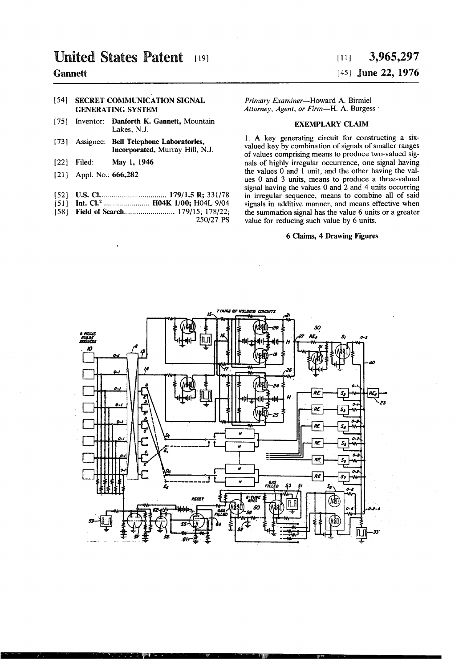# $\textbf{1} \textbf{1} \textbf{1} \textbf{1} \textbf{1} \textbf{1} \textbf{1} \textbf{1} \textbf{1} \textbf{1} \textbf{1} \textbf{1} \textbf{1} \textbf{1} \textbf{1} \textbf{1} \textbf{1} \textbf{1} \textbf{1} \textbf{1} \textbf{1} \textbf{1} \textbf{1} \textbf{1} \textbf{1} \textbf{1} \textbf{1} \textbf{1} \textbf{1} \textbf{1} \textbf{1} \textbf{1} \textbf{1} \textbf{1} \textbf{1} \textbf{1} \textbf{$ **Gannett**

## [54] SECRET COMMUNICATION SIGNAL GENERATING SYSTEM

- [75] Inventor: Danforth K. Gannett, Mountain Lakes, N.J.
- [73] Assignee: Bell Telephone Laboratories, Incorporated, Murray Hill, N.J.
- [22] Filed: May 1, 1946
- [21] Appl. No.: 666,282
- [52] us. c1. .............................. .. 179/15 R; 331/78
- [51] Int. Cl.<sup>2</sup> ....................... H04K 1/00; H04L 9/04
- [58] **Field of Search ................................ 179/15; 178/22;** 250/27 PS

# [45] June 22, 1976

Primary Examiner-Howard A. Birmiel Attorney, Agent, or Firm-H. A. Burgess

# EXEMPLARY CLAIM

l. A key generating circuit for constructing a six valued key by combination of signals of smaller ranges of values comprising means to produce two-valued sig nals of highly irregular occurrence, one signal having the values 0 and 1 unit, and the other having the values O and 3 units, means to produce a three-valued signal having the values 0 and 2 and 4 units occurring in irregular sequence, means to combine all of said signals in additive manner, and means effective when the summation signal has the value 6 units or a greater value for reducing such value by 6 units.

## 6 Claims, 4 Drawing Figures

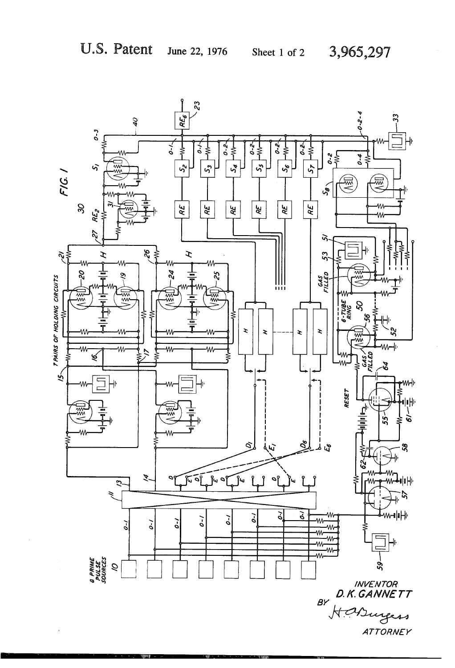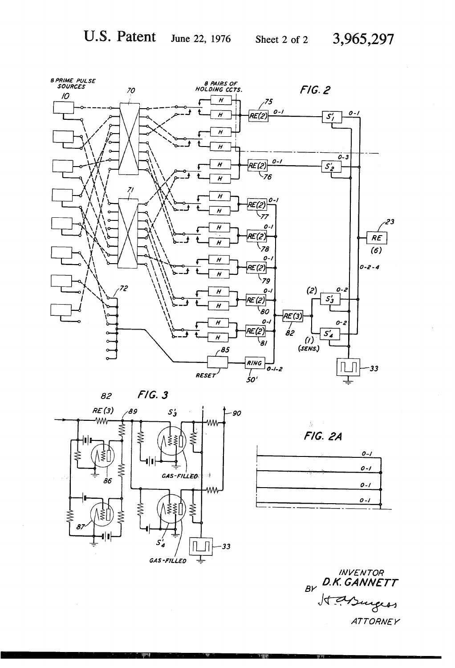3,965,297

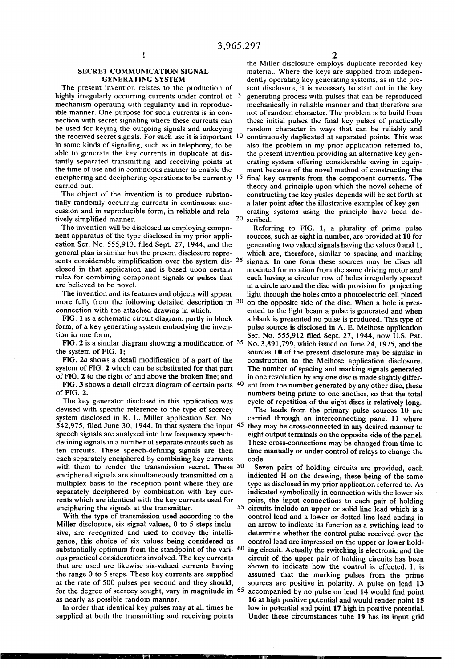#### SECRET COMMUNICATION SIGNAL GENERATING SYSTEM

The present invention relates to the production of highly irregularly occurring currents under control of 5 mechanism operating with regularity and in reproduc ible manner. One purpose for such currents is in con nection with secret signaling where these currents can be used for keying the outgoing signals and unkeying the received secret signals. For such use it is important 10 in some kinds of signaling, such as in telephony, to be able to generate the key currents in duplicate at dis tantly separated transmitting and receiving points at the time of use and in continuous manner to enable the enciphering and deciphering operations to be currently 15 carried out.

The object of the invention is to produce substan tially randomly occurring currents in continuous suc cession and in reproducible form, in reliable and rela tively simplified manner.

The invention will be disclosed as employing compo nent apparatus of the type disclosed in my prior appli cation Ser. No. 555,913, filed Sept. 27, 1944, and the general plan is similar but the present disclosure repre sents considerable simplification over the system dis- $25$ closed in that application and is based upon certain rules for combining component signals or pulses that are believed to be novel.

The invention and its features and objects will appear more fully from the following detailed description in 30 connection with the attached drawing in which:

FIG. 1 is a schematic circuit diagram, partly in block form, of a key generating system embodying the inven tion in one form;

FIG. 2 is a similar diagram showing a modification of  $35$ the system of FIG. 1;

FIG.  $2a$  shows a detail modification of a part of the system of FIG. 2 which can be substituted for that part of FIG. 2 to the right of and above the broken line; and

FIG. 3 shows a detail circuit diagram of certain parts 40 of FIG. 2.

The key generator disclosed in this application was devised with specific reference to the type of secrecy system disclosed in R. L. Miller application Ser. No. 542,975, filed June 30, 1944. In that system the input  $45$ speech signals are analyzed into low frequency speech defining signals in a number of separate circuits such as ten circuits. These speech-defining signals are then each separately enciphered by combining key currents with them to render the transmission secret. These <sup>50</sup> enciphered signals are simultaneously transmitted on a multiplex basis to the reception point where they are separately deciphered by combination with key cur rents which are identical with the key currents used for enciphering the signals at the transmitter.

With the type of transmission used according to the Miller disclosure, six signal values, 0 to 5 steps inclu sive, are recognized and used to convey the intelli gence, this choice of six values being considered as ous practical considerations involved. The key currents that are used are likewise six-valued currents having the range 0 to 5 steps. These key currents are supplied at the rate of 500 pulses per second and they should, for the degree of secrecy sought, vary in magnitude in <sup>65</sup><br>as nearly as possible random manner. substantially optimum from the standpoint of the vari- 60

In order that identical key pulses may at all times be supplied at both the transmitting and receiving points

 $\sim$   $\sim$   $\sim$  Then  $\sim$ 

20 scribed. the Miller disclosure employs duplicate recorded key material. Where the keys are supplied from indepen dently operating key generating systems, as in the pre sent disclosure, it is necessary to start out in the key generating process with pulses that can be reproduced mechanically in reliable manner and that therefore are not of random character. The problem is to build from these initial pulses the final key pulses of practically random character in ways that can be reliably and continuously duplicated at separated points. This was also the problem in my prior application referred to, the present invention providing an alternative key gen erating system offering considerable saving in equip- . ment because of the novel method of constructing the final key currents from the component currents. The theory and principle upon which the novel scheme of constructing the key pusles depends will be set forth at a later point after the illustrative examples of key gen erating systems using the principle have been de

Referring to FIG. 1, a plurality of prime pulse sources, such as eight in number, are provided at 10 for generating two valued signals having the values 0 and 1, which are, therefore, similar to spacing and marking signals. In one form these sources may be discs all mounted for rotation from the same driving motor and each having a circular row of holes irregularly spaced in a circle around the disc with provision for projecting light through the holes onto a photoelectric cell placed on the opposite side of the disc. When a hole is pres ented to the light beam a pulse is generated and when a blank is presented no pulse is produced. This type of pulse source is disclosed in A. E. Melhose application Ser. No. 555,912 filed Sept. 27, 1944, now U.S. Pat. No. 3,891,799, which issued on June 24, 1975, and the sources 10 of the present disclosure may be similar in construction to the Melhose application disclosure. The number of spacing and marking signals generated in one revolution by any one disc is made slightly differ ent from the number generated by any other disc, these numbers being prime to one another, so that the total cycle of repetition of the eight discs is relatively long.

The leads from the primary pulse sources 10 are carried through an interconnecting panel 11 where they may be cross-connected in any desired manner to eight output terminals on the opposite side of the panel. These cross-connections may be changed from time to time manually or under control of relays to change the code.

Seven pairs of holding circuits are provided, each indicated .H on the drawing, these being of the same type as disclosed in my prior application referred to. As indicated symbolically in connection with the lower six pairs, the input connections to each pair of holding circuits include an upper or solid line lead which is a control lead and a lower or dotted line lead ending in an arrow to indicate its function as a swtiching lead to determine whether the control pulse received over the control lead are impressed on the upper or lower hold ing circuit. Actually the switching is electronic and the circuit of the upper pair of holding circuits has been shown to indicate how the control is effected. It is assumed that the marking pulses from the prime sources are positive in polarity. A pulse on lead 13 accompanied by no pulse on lead 14 would find point 16 at high positive potential and would render point 15 low in potential and point 17 high in positive potential. Under these circumstances tube 19 has its input grid

55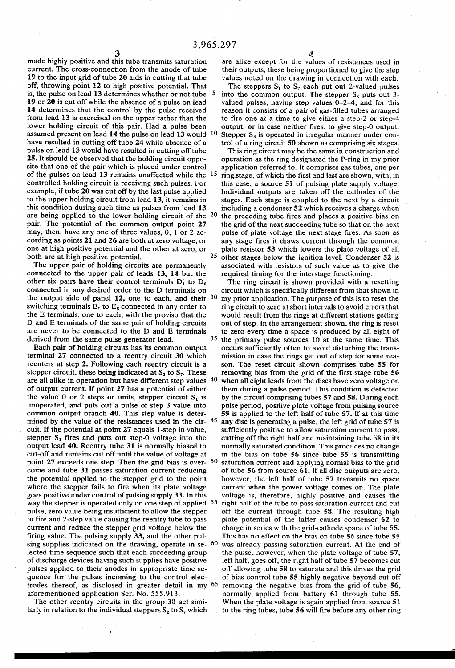made highly positive and this tube transmits saturation current. The cross-connection from the anode of tube 19 to the input grid of tube 20 aids in cutting that tube off, throwing point 12 to high positive potential. That is, the pulse on lead 13 determines whether or not tube 5 19 or 20 is cut off while the absence of a pulse on lead 14 determines that the control by the pulse received from lead 13 is exercised on the upper rather than the lower holding circuit of this pair. Had a pulse been assumed present on lead 14 the pulse on lead 13 would 10 have resulted in cutting off tube 24 while absence of a pulse on lead 13 would have resulted in cutting off tube 25. It should be observed that the holding circuit oppo site that one of the pair which is placed under control of the pulses on lead 13 remains unaffected while the controlled holding circuit is receiving such pulses. For example, if tube 20 was cut off by the last pulse applied . to the upper holding circuit from lead 13, it remains in this condition during such time as pulses from lead 13 are being applied to the lower holding circuit of the 20 pair. The potential of the common output point 27 may, then, have any one of three values, 0, 1 or 2 ac cording as points 21 and 26 are both at zero voltage, or one at high positive potential and the other at zero, or both are at high positive potential. 25

The upper pair of holding circuits are permanently connected to the upper pair of leads 13, 14 but the other six pairs have their control terminals  $D_1$  to  $D_6$ connected in any desired order to the D terminals on the output side of panel 12, one to each, and their 30 switching terminals  $E_1$  to  $E_6$  connected in any order to the E terminals, one to each, with the proviso that the D and E terminals of the same pair of holding circuits are never to be connected to the D and E terminals derived from the same pulse generator lead. 35

Each pair of holding circuits has its common output terminal 27 connected to a reentry circuit 30 which reenters at step 2. Following each reentry circuit is a stepper circuit, these being indicated at  $S_1$  to  $S_7$ . These are all alike in operation but have different step values  $\frac{40}{5}$ of output current. If point 27 has a potential of either the value 0 or 2 steps or units, stepper circuit  $S_1$  is unoperated, and puts out a pulse of step 3 value into common output branch 40. This step value is deter mined by the value of the resistances used in the cir-  $45$ cuit. If the potential at point 27 equals l-step in value, stepper  $S_1$  fires and puts out step-0 voltage into the output lead 40. Reentry tube 31 is normally biased to cut-off and remains cut off until the value of voltage at point 27 exceeds one step. Then the grid bias is over- <sup>50</sup> come and tube 31 passes saturation current reducing the potential applied to the stepper grid to the point where the stepper fails to fire when its plate voltage goes positive under control of pulsing supply 33. In this way the stepper is operated only on one step of applied 55 pulse, zero value being insufficient to allow the stepper to fire and 2-step value causing the reentry tube to pass current and reduce the stepper grid voltage below the firing value. The pulsing supply 33, and the other pulsing supplies indicated on the drawing, operate in se- <sup>60</sup> lected time sequence such that each succeeding group of discharge devices having such supplies have positive pulses applied to their anodes in appropriate time se quence for the pulses incoming to the control elec trodes thereof, as disclosed in greater detail in my 65 aforementioned application Ser. No. 555,913.

The other reentry circuits in the group 30 act similarly in relation to the individual steppers  $S_2$  to  $S_7$  which

are alike except for the values of resistances used in their outputs, these being proportioned to give the step values noted on the drawing in connection with each.

The steppers  $S_1$  to  $S_7$  each put out 2-valued pulses into the common output. The stepper  $S_8$  puts out 3-valued pulses, having step values 0–2–4, and for this reason it consists of a pair of gas-filled tubes arranged to fire one at a time to give either a step-2 or step-4 output, or in case neither fires, to give step-0 output. Stepper  $S_8$  is operated in irregular manner under control of a ring circuit 50 shown as comprising six stages.

This ring circuit may be the same in construction and operation as the ring designated the P-ring in my prior application referred to. It comprises gas tubes, one per ring stage, of which the first and last are shown, with, in this case, a source 51 of pulsing plate supply voltage. Individual outputs are taken off the cathodes of the stages. Each stage is coupled to the next by a circuit including a condenser 52 which receives a charge when the preceding tube fires and places a positive bias on the grid of the next succeeding tube so that on the next pulse of plate voltage the next stage fires. As soon as any stage fires it draws current through the common plate resistor 53 which lowers the plate voltage of all other stages below the ignition level. Condenser 52 is associated with resistors of such value as to give the required timing for the interstage functioning.

The ring circuit is shown provided with a resetting circuit which is specifically different from that shown in my prior application. The purpose of this is to reset the ring circuit to zero at short intervals to avoid errors that would result from the rings at different stations getting out of step. in the arrangement shown, the ring is reset to zero every time a space is produced by all eight of the primary pulse sources 10 at the same time. This occurs sufficiently often to avoid disturbing the trans mission in case the rings get out of step for some rea son. The reset circuit shown comprises tube 55 for removing bias from the grid of the first stage tube 56 when all eight leads from the discs have zero voltage on them during a pulse period. This condition is detected by the circuit comprising tubes 57 and 58. During each pulse period, positive plate voltage from pulsing source .59 is applied to the left half of tube 57. If at this time any disc is generating a pulse, the left grid of tube 57 is sufficiently positive to allow saturation current to pass, cutting off the right half and maintaining tube 58 in its normally saturated condition. This produces no change in the bias on tube 56 since tube 55 is transmitting saturation current and applying normal bias to the grid of tube 56 from source 61. If all disc outputs are zero, however, the left half of tube 57 transmits no space current when the power voltage comes on. The plate voltage is, therefore, highly positive and causes the right half of the tube to pass saturation current and cut off the current through tube 58. The resulting high plate potential of the latter causes condenser 62 to charge in series with the grid-cathode space of tube 55. This has no effect on the bias on tube 56 since tube 55 was already passing saturation current. At the end of the pulse, however, when the plate voltage of tube 57, left half, goes off, the right half of tube 57 becomes cut off allowing tube 58 to saturate and this drives the grid of bias control tube 55 highly negative beyond cut-off removing the negative bias from the grid of tube 56, normally applied from battery 61 through tube 55. When the plate voltage is again applied from source 51 to the ring tubes, tube 56 will fire before any other ring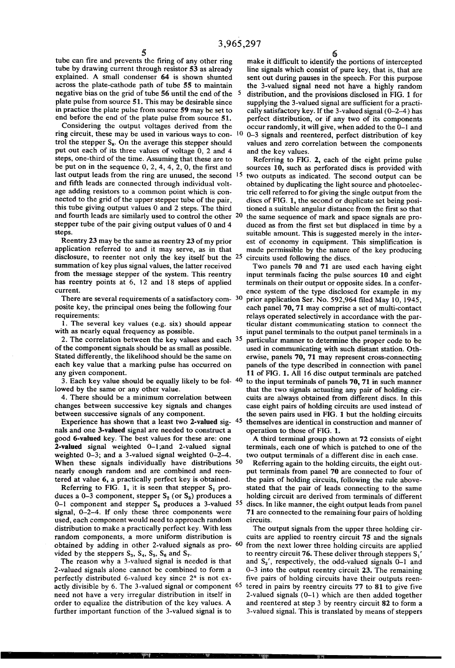tube can fire and prevents the firing of any other ring tube by drawing current through resistor 53 as already explained. A small condenser 64 is shown shunted across the plate-cathode path of tube 55 to maintain negative bias on the grid of tube 56 until the end of the 5 plate pulse from source 51. This may be desirable since in practice the plate pulse from source 59 may be set to end before the end of the plate pulse from source 51.

Considering the output voltages derived from the ring circuit, these may be used in various ways to con trol the stepper  $S_8$ . On the average this stepper should put out each of its three values of voltage 0, 2 and 4 steps, one-third of the time. Assuming that these are to be put on in the sequence  $0, 2, 4, 4, 2, 0$ , the first and last output leads from the ring are unused, the second <sup>15</sup> and fifth leads are connected through individual voltage adding resistors to a common point which is con nected to the grid of the upper stepper tube of the pair, this tube giving output values 0 and 2 steps. The third and fourth leads are similarly used to control the other 20 stepper tube of the pair giving output values of 0 and 4 steps.

Reentry 23 may be the same as reentry 23 of my prior application referred to and it may serve, as in that disclosure, to reenter not only the key itself but the 25 summation of key plus signal values, the latter received from the message stepper of the system. This reentry has reentry points at 6, l2 and 18 steps of applied current.

There are several requirements of a satisfactory com- $30$ posite key, the principal ones being the following four requirements:

1. The several key values (e.g. six) should appear with as nearly equal frequency as possible.

2. The correlation between the key values and each 35 of the component signals should be as small as possible. Stated differently, the likelihood should be the same on each key value that a marking pulse has occurred on any given component.

3. Each key value should be equally likely to be fol- <sup>40</sup> lowed by the same or any other value.

4. There should be a minimum correlation between changes between successive key signals and changes between successive signals of any component.

Experience has shown that a least two 2-valued sig- <sup>45</sup> nals and one 3-valued signal are needed to construct a good 6-valued key. The best values for these are: one 2-valued signal weighted O-l;and 2-valued signal weighted 0-3; and a 3-valued signal weighted 0-2-4. When these signals individually have distributions 50 nearly enough random and are combined and reen tered at value 6, a practically perfect key is obtained.

Referring to FIG. 1, it is seen that stepper  $S_1$  produces a 0-3 component, stepper  $S_2$  (or  $S_3$ ) produces a 0–1 component and stepper  $S_8$  produces a 3-valued  $55$ signal, O-2—4. If only these three components were used, each component would need to approach random distribution to make a practically perfect key. With less random components, a more uniform distribution is obtained by adding in other 2-valued signals as pro-  $60$ vided by the steppers  $S_3$ ,  $S_4$ ,  $S_5$ ,  $S_6$  and  $S_7$ .

The reason why a 3-valued signal is needed is that 2-valued signals alone cannot be combined to form a perfectly distributed 6-valued key since  $2<sup>n</sup>$  is not exactly divisible by 6. The 3-valued signal or component 65 need not have a very irregular distribution in itself in order to equalize the distribution of the key values. A further important function of the 3-valued signal is to

make it difficult to identify the portions of intercepted line signals which consist of pure key, that is, that are sent out during pauses in the speech. For this purpose the 3-valued signal need not have a highly random distribution, and the provisions disclosed in FIG. 1 for supplying the 3-valued signal are sufficient for a practically satisfactory key. If the 3-valued signal (0~2—4) has perfect distribution, or if any two of its components occur randomly, it will give, when added to the 0-1 and O-3 signals and reentered, perfect distribution of key values and zero correlation between the components

and the key values. Referring to FIG. 2, each of the eight prime pulse \_ sources 10, such as perforated discs is provided with two outputs as indicated. The second output can be obtained by duplicating the light source and photoelec tric cell referred to for giving the single output from the discs of FIG. 1, the second or duplicate set being posi tioned a suitable angular distance from the first so that the same sequence of mark and space signals are pro duced as from the first set but displaced in time by a suitable amount. This is suggested merely in the inter est of economy in equipment. This simplification is made permissible by the nature of the key producing circuits used following the discs.

Two panels 70 and 71 are used each having eight input terminals facing the pulse sources 10 and eight terminals on their output or opposite sides. In a confer ence system of the type disclosed for example in my prior application Ser. No. 592,964 filed May 10, 1945, each panel 70, 71 may comprise a set of multi-contact relays operated selectively in accordance with the par ticular distant communicating station to connect the input panel terminals to the output panel terminals in a particular manner to determine the proper code to be used in communicating with such distant station. Oth erwise, panels 70, 71 may represent cross-connecting panels of the type described in connection with panel 11 of FIG. 1. All 16 disc output terminals are patched to the input terminals of panels 70, 71 in such manner that the two signals actuating any pair of holding cir cuits are always obtained from different discs. In this case eight pairs of holding circuits are used instead of the seven pairs used in FIG. 1 but the holding circuits themselves are identical in construction and manner of operation to those of FIG. 1.

A third terminal group shown at 72 consists of eight terminals, each one of which is patched to one of the two output terminals of a different disc in each case.

Referring again to the holding circuits, the eight out put terminals from panel 70 are connected to four of the pairs of holding circuits, following the rule above stated that the pair of leads connecting to the same holding circuit are derived from terminals of different discs. In like manner, the eight output leads from panel 71 are connected to the remaining four pairs of holding circuits.

The output signals from the upper three holding cir cuits are applied to reentry circuit 75 and the signals from the next lower three holding circuits are applied to reentry circuit 76. These deliver through steppers  $S_1'$ and  $S_2'$ , respectively, the odd-valued signals 0-1 and 0-3 into the output reentry circuit 23. The remaining five pairs of holding circuits have their outputs reentered in pairs by reentry circuits 77 to 81 to give five 2-valued signals (O-l) which are then added together and reentered at step 3 by reentry circuit 82 to form a 3-valued signal. This is translated by means of steppers